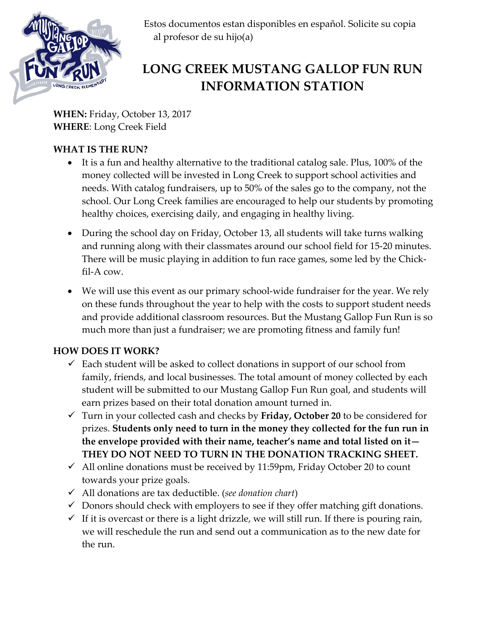

 Estos documentos estan disponibles en español. Solicite su copia al profesor de su hijo(a)

# **LONG CREEK MUSTANG GALLOP FUN RUN INFORMATION STATION**

**WHEN:** Friday, October 13, 2017 **WHERE**: Long Creek Field

## **WHAT IS THE RUN?**

- It is a fun and healthy alternative to the traditional catalog sale. Plus, 100% of the money collected will be invested in Long Creek to support school activities and needs. With catalog fundraisers, up to 50% of the sales go to the company, not the school. Our Long Creek families are encouraged to help our students by promoting healthy choices, exercising daily, and engaging in healthy living.
- During the school day on Friday, October 13, all students will take turns walking and running along with their classmates around our school field for 15-20 minutes. There will be music playing in addition to fun race games, some led by the Chickfil-A cow.
- We will use this event as our primary school-wide fundraiser for the year. We rely on these funds throughout the year to help with the costs to support student needs and provide additional classroom resources. But the Mustang Gallop Fun Run is so much more than just a fundraiser; we are promoting fitness and family fun!

## **HOW DOES IT WORK?**

- $\checkmark$  Each student will be asked to collect donations in support of our school from family, friends, and local businesses. The total amount of money collected by each student will be submitted to our Mustang Gallop Fun Run goal, and students will earn prizes based on their total donation amount turned in.
- Turn in your collected cash and checks by **Friday, October 20** to be considered for prizes. **Students only need to turn in the money they collected for the fun run in the envelope provided with their name, teacher's name and total listed on it— THEY DO NOT NEED TO TURN IN THE DONATION TRACKING SHEET.**
- $\checkmark$  All online donations must be received by 11:59pm, Friday October 20 to count towards your prize goals.
- All donations are tax deductible. (*see donation chart*)
- $\checkmark$  Donors should check with employers to see if they offer matching gift donations.
- $\checkmark$  If it is overcast or there is a light drizzle, we will still run. If there is pouring rain, we will reschedule the run and send out a communication as to the new date for the run.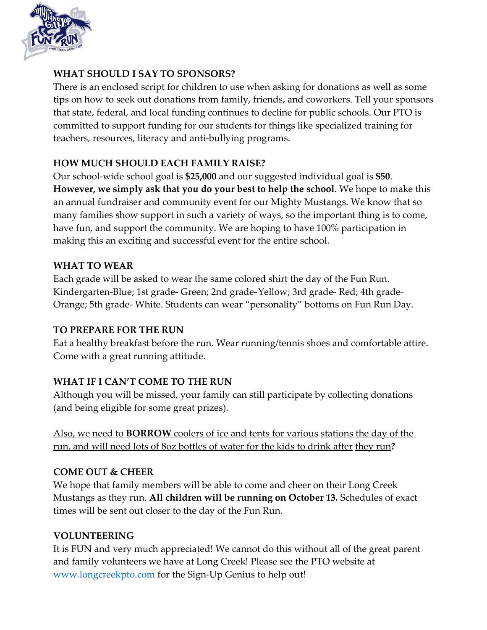

#### **WHAT SHOULD I SAY TO SPONSORS?**

There is an enclosed script for children to use when asking for donations as well as some tips on how to seek out donations from family, friends, and coworkers. Tell your sponsors that state, federal, and local funding continues to decline for public schools. Our PTO is committed to support funding for our students for things like specialized training for teachers, resources, literacy and anti-bullying programs.

#### **HOW MUCH SHOULD EACH FAMILY RAISE?**

Our school-wide school goal is **\$25,000** and our suggested individual goal is **\$50**. **However, we simply ask that you do your best to help the school**. We hope to make this an annual fundraiser and community event for our Mighty Mustangs. We know that so many families show support in such a variety of ways, so the important thing is to come, have fun, and support the community. We are hoping to have 100% participation in making this an exciting and successful event for the entire school.

#### **WHAT TO WEAR**

Each grade will be asked to wear the same colored shirt the day of the Fun Run. Kindergarten-Blue; 1st grade-- Green; 2nd grade--Yellow; 3rd grade-- Red; 4th grade--Orange; 5th grade-- White. Students can wear "personality" bottoms on Fun Run Day.

### **TO PREPARE FOR THE RUN**

Eat a healthy breakfast before the run. Wear running/tennis shoes and comfortable attire. Come with a great running attitude.

### **WHAT IF I CAN'T COME TO THE RUN**

Although you will be missed, your family can still participate by collecting donations (and being eligible for some great prizes).

Also, we need to **BORROW** coolers of ice and tents for various stations the day of the run, and will need lots of 8oz bottles of water for the kids to drink after they run**?**

### **COME OUT & CHEER**

We hope that family members will be able to come and cheer on their Long Creek Mustangs as they run. **All children will be running on October 13.** Schedules of exact times will be sent out closer to the day of the Fun Run.

### **VOLUNTEERING**

It is FUN and very much appreciated! We cannot do this without all of the great parent and family volunteers we have at Long Creek! Please see the PTO website at [www.longcreekpto.com](http://www.longcreekpto.com/) for the Sign-Up Genius to help out!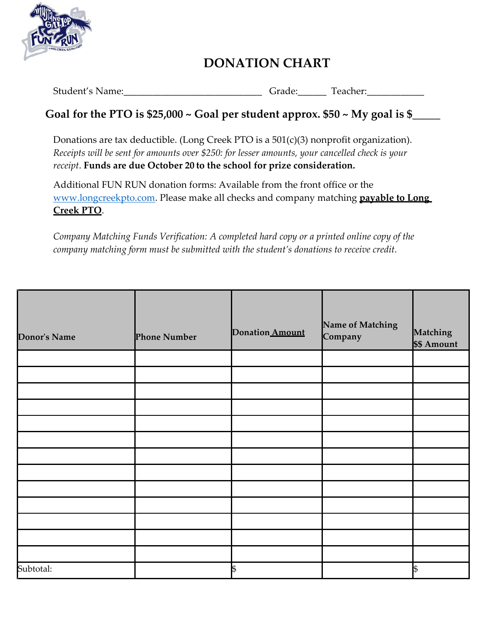

# **DONATION CHART**

Student's Name: The Contract Contract Contract Contract Contract Contract Contract Contract Contract Contract Contract Contract Contract Contract Contract Contract Contract Contract Contract Contract Contract Contract Cont

# **Goal for the PTO is \$25,000 ~ Goal per student approx. \$50 ~ My goal is \$\_\_\_\_\_**

Donations are tax deductible. (Long Creek PTO is a 501(c)(3) nonprofit organization). *Receipts will be sent for amounts over \$250: for lesser amounts, your cancelled check is your receipt*. **Funds are due October 20 to the school for prize consideration.**

Additional FUN RUN donation forms: Available from the front office or the [www.longcreekpto.com.](http://www.longcreekpto.com/) Please make all checks and company matching **payable to Long Creek PTO**.

*Company Matching Funds Verification: A completed hard copy or a printed online copy of the company matching form must be submitted with the student's donations to receive credit.*

| <b>Donor's Name</b> | <b>Phone Number</b> | Donation Amount | Name of Matching<br>Company | Matching<br>\$\$ Amount |
|---------------------|---------------------|-----------------|-----------------------------|-------------------------|
|                     |                     |                 |                             |                         |
|                     |                     |                 |                             |                         |
|                     |                     |                 |                             |                         |
|                     |                     |                 |                             |                         |
|                     |                     |                 |                             |                         |
|                     |                     |                 |                             |                         |
|                     |                     |                 |                             |                         |
|                     |                     |                 |                             |                         |
|                     |                     |                 |                             |                         |
|                     |                     |                 |                             |                         |
|                     |                     |                 |                             |                         |
|                     |                     |                 |                             |                         |
|                     |                     |                 |                             |                         |
| Subtotal:           |                     | \$              |                             | \$                      |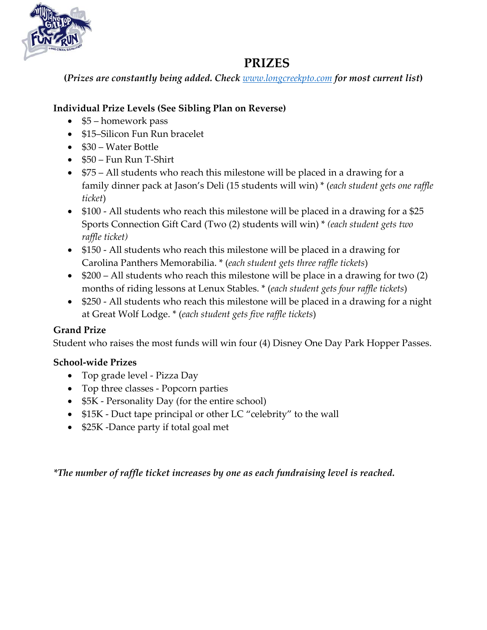

# **PRIZES**

**(***Prizes are constantly being added. Check [www.longcreekpto.com](http://www.longcreekpto.com/) for most current list***)**

## **Individual Prize Levels (See Sibling Plan on Reverse)**

- \$5 homework pass
- \$15–Silicon Fun Run bracelet
- \$30 Water Bottle
- \$50 Fun Run T-Shirt
- \$75 All students who reach this milestone will be placed in a drawing for a family dinner pack at Jason's Deli (15 students will win) \* (*each student gets one raffle ticket*)
- \$100 All students who reach this milestone will be placed in a drawing for a \$25 Sports Connection Gift Card (Two (2) students will win) \* *(each student gets two raffle ticket)*
- \$150 All students who reach this milestone will be placed in a drawing for Carolina Panthers Memorabilia. \* (*each student gets three raffle tickets*)
- \$200 All students who reach this milestone will be place in a drawing for two (2) months of riding lessons at Lenux Stables. \* (*each student gets four raffle tickets*)
- \$250 All students who reach this milestone will be placed in a drawing for a night at Great Wolf Lodge. \* (*each student gets five raffle tickets*)

## **Grand Prize**

Student who raises the most funds will win four (4) Disney One Day Park Hopper Passes.

## **School-wide Prizes**

- Top grade level Pizza Day
- Top three classes Popcorn parties
- \$5K Personality Day (for the entire school)
- \$15K Duct tape principal or other LC "celebrity" to the wall
- \$25K -Dance party if total goal met

*\*The number of raffle ticket increases by one as each fundraising level is reached.*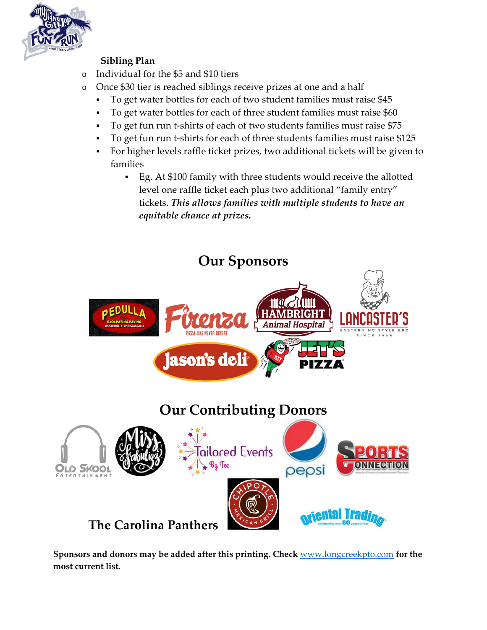

## **Sibling Plan**

- o Individual for the \$5 and \$10 tiers
- o Once \$30 tier is reached siblings receive prizes at one and a half
	- To get water bottles for each of two student families must raise \$45
	- To get water bottles for each of three student families must raise \$60
	- To get fun run t-shirts of each of two students families must raise \$75
	- To get fun run t-shirts for each of three students families must raise \$125
	- For higher levels raffle ticket prizes, two additional tickets will be given to families
		- Eg. At \$100 family with three students would receive the allotted level one raffle ticket each plus two additional "family entry" tickets. *This allows families with multiple students to have an equitable chance at prizes.*



**Sponsors and donors may be added after this printing. Check** [www.longcreekpto.com](http://www.longcreekpto.com/) **for the most current list.**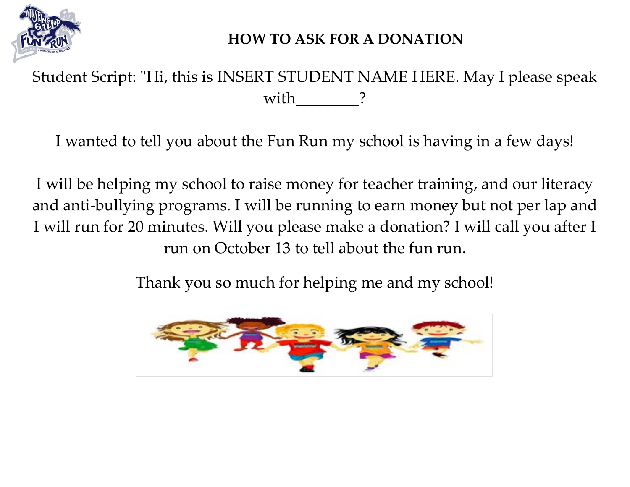

# **HOW TO ASK FOR A DONATION**

Student Script: "Hi, this is **INSERT STUDENT NAME HERE**. May I please speak with

I wanted to tell you about the Fun Run my school is having in a few days!

I will be helping my school to raise money for teacher training, and our literacy and anti-bullying programs. I will be running to earn money but not per lap and I will run for 20 minutes. Will you please make a donation? I will call you after I run on October 13 to tell about the fun run.

Thank you so much for helping me and my school!